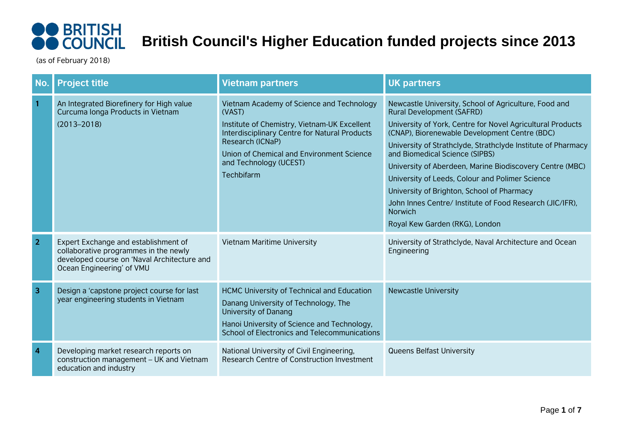# **British Council's Higher Education funded projects since 2013**

| No.                     | <b>Project title</b>                                                                                                                                      | <b>Vietnam partners</b>                                                                                                                                                                                                                                       | <b>UK partners</b>                                                                                                                                                                                                                                                                                                                                                                                                                                                                                                                                                               |
|-------------------------|-----------------------------------------------------------------------------------------------------------------------------------------------------------|---------------------------------------------------------------------------------------------------------------------------------------------------------------------------------------------------------------------------------------------------------------|----------------------------------------------------------------------------------------------------------------------------------------------------------------------------------------------------------------------------------------------------------------------------------------------------------------------------------------------------------------------------------------------------------------------------------------------------------------------------------------------------------------------------------------------------------------------------------|
|                         | An Integrated Biorefinery for High value<br>Curcuma longa Products in Vietnam<br>$(2013 - 2018)$                                                          | Vietnam Academy of Science and Technology<br>(VAST)<br>Institute of Chemistry, Vietnam-UK Excellent<br>Interdisciplinary Centre for Natural Products<br>Research (ICNaP)<br>Union of Chemical and Environment Science<br>and Technology (UCEST)<br>Techbifarm | Newcastle University, School of Agriculture, Food and<br>Rural Development (SAFRD)<br>University of York, Centre for Novel Agricultural Products<br>(CNAP), Biorenewable Development Centre (BDC)<br>University of Strathclyde, Strathclyde Institute of Pharmacy<br>and Biomedical Science (SIPBS)<br>University of Aberdeen, Marine Biodiscovery Centre (MBC)<br>University of Leeds, Colour and Polimer Science<br>University of Brighton, School of Pharmacy<br>John Innes Centre/ Institute of Food Research (JIC/IFR),<br><b>Norwich</b><br>Royal Kew Garden (RKG), London |
| $\overline{2}$          | Expert Exchange and establishment of<br>collaborative programmes in the newly<br>developed course on 'Naval Architecture and<br>Ocean Engineering' of VMU | Vietnam Maritime University                                                                                                                                                                                                                                   | University of Strathclyde, Naval Architecture and Ocean<br>Engineering                                                                                                                                                                                                                                                                                                                                                                                                                                                                                                           |
| $\overline{\mathbf{3}}$ | Design a 'capstone project course for last<br>year engineering students in Vietnam                                                                        | HCMC University of Technical and Education<br>Danang University of Technology, The<br><b>University of Danang</b><br>Hanoi University of Science and Technology,<br>School of Electronics and Telecommunications                                              | <b>Newcastle University</b>                                                                                                                                                                                                                                                                                                                                                                                                                                                                                                                                                      |
| $\boldsymbol{4}$        | Developing market research reports on<br>construction management - UK and Vietnam<br>education and industry                                               | National University of Civil Engineering,<br>Research Centre of Construction Investment                                                                                                                                                                       | <b>Queens Belfast University</b>                                                                                                                                                                                                                                                                                                                                                                                                                                                                                                                                                 |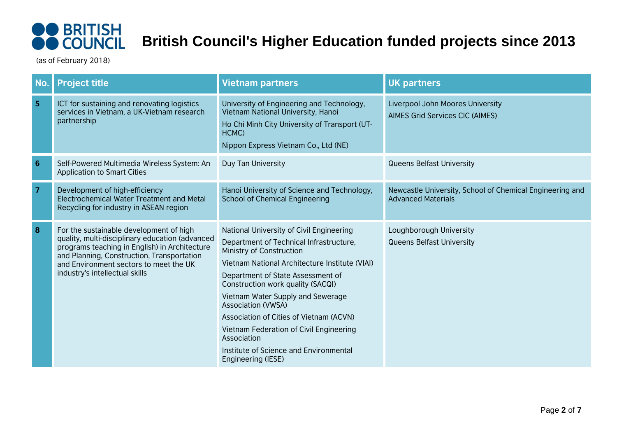### **British Council's Higher Education funded projects since 2013**

| No.              | <b>Project title</b>                                                                                                                                                                                                                                                  | <b>Vietnam partners</b>                                                                                                                                                                                                                                                                                                                                                                                                                                                            | <b>UK partners</b>                                                                    |
|------------------|-----------------------------------------------------------------------------------------------------------------------------------------------------------------------------------------------------------------------------------------------------------------------|------------------------------------------------------------------------------------------------------------------------------------------------------------------------------------------------------------------------------------------------------------------------------------------------------------------------------------------------------------------------------------------------------------------------------------------------------------------------------------|---------------------------------------------------------------------------------------|
| $5\phantom{1}$   | ICT for sustaining and renovating logistics<br>services in Vietnam, a UK-Vietnam research<br>partnership                                                                                                                                                              | University of Engineering and Technology,<br>Vietnam National University, Hanoi<br>Ho Chi Minh City University of Transport (UT-<br>HCMC)<br>Nippon Express Vietnam Co., Ltd (NE)                                                                                                                                                                                                                                                                                                  | Liverpool John Moores University<br><b>AIMES Grid Services CIC (AIMES)</b>            |
| $6\phantom{1}6$  | Self-Powered Multimedia Wireless System: An<br><b>Application to Smart Cities</b>                                                                                                                                                                                     | Duy Tan University                                                                                                                                                                                                                                                                                                                                                                                                                                                                 | <b>Queens Belfast University</b>                                                      |
| $\overline{7}$   | Development of high-efficiency<br>Electrochemical Water Treatment and Metal<br>Recycling for industry in ASEAN region                                                                                                                                                 | Hanoi University of Science and Technology,<br><b>School of Chemical Engineering</b>                                                                                                                                                                                                                                                                                                                                                                                               | Newcastle University, School of Chemical Engineering and<br><b>Advanced Materials</b> |
| $\boldsymbol{8}$ | For the sustainable development of high<br>quality, multi-disciplinary education (advanced<br>programs teaching in English) in Architecture<br>and Planning, Construction, Transportation<br>and Environment sectors to meet the UK<br>industry's intellectual skills | National University of Civil Engineering<br>Department of Technical Infrastructure,<br>Ministry of Construction<br>Vietnam National Architecture Institute (VIAI)<br>Department of State Assessment of<br>Construction work quality (SACQI)<br>Vietnam Water Supply and Sewerage<br><b>Association (VWSA)</b><br>Association of Cities of Vietnam (ACVN)<br>Vietnam Federation of Civil Engineering<br>Association<br>Institute of Science and Environmental<br>Engineering (IESE) | Loughborough University<br><b>Queens Belfast University</b>                           |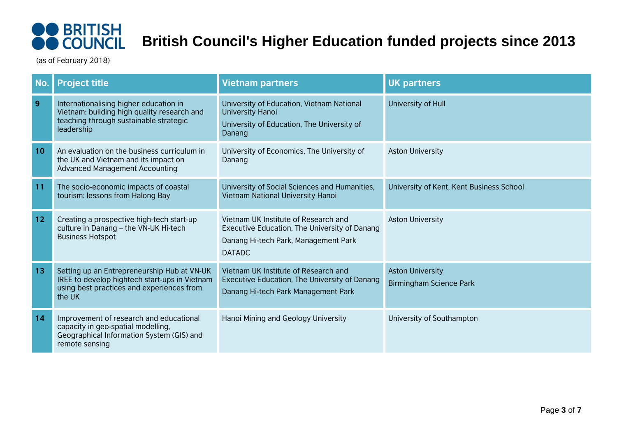# **British Council's Higher Education funded projects since 2013**

| No. | <b>Project title</b>                                                                                                                                | <b>Vietnam partners</b>                                                                                                                        | <b>UK partners</b>                                        |
|-----|-----------------------------------------------------------------------------------------------------------------------------------------------------|------------------------------------------------------------------------------------------------------------------------------------------------|-----------------------------------------------------------|
| 9   | Internationalising higher education in<br>Vietnam: building high quality research and<br>teaching through sustainable strategic<br>leadership       | University of Education, Vietnam National<br>University Hanoi<br>University of Education, The University of<br>Danang                          | University of Hull                                        |
| 10  | An evaluation on the business curriculum in<br>the UK and Vietnam and its impact on<br><b>Advanced Management Accounting</b>                        | University of Economics, The University of<br>Danang                                                                                           | <b>Aston University</b>                                   |
| 11  | The socio-economic impacts of coastal<br>tourism: lessons from Halong Bay                                                                           | University of Social Sciences and Humanities,<br>Vietnam National University Hanoi                                                             | University of Kent, Kent Business School                  |
| 12  | Creating a prospective high-tech start-up<br>culture in Danang - the VN-UK Hi-tech<br><b>Business Hotspot</b>                                       | Vietnam UK Institute of Research and<br>Executive Education, The University of Danang<br>Danang Hi-tech Park, Management Park<br><b>DATADC</b> | <b>Aston University</b>                                   |
| 13  | Setting up an Entrepreneurship Hub at VN-UK<br>IREE to develop hightech start-ups in Vietnam<br>using best practices and experiences from<br>the UK | Vietnam UK Institute of Research and<br>Executive Education, The University of Danang<br>Danang Hi-tech Park Management Park                   | <b>Aston University</b><br><b>Birmingham Science Park</b> |
| 14  | Improvement of research and educational<br>capacity in geo-spatial modelling,<br>Geographical Information System (GIS) and<br>remote sensing        | Hanoi Mining and Geology University                                                                                                            | University of Southampton                                 |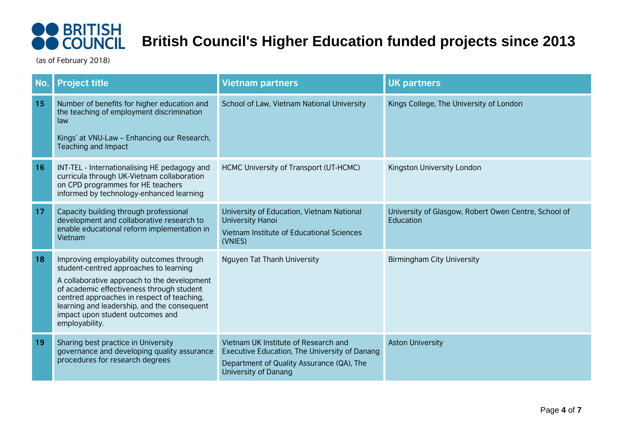# **British Council's Higher Education funded projects since 2013**

| No. | <b>Project title</b>                                                                                                                                                                                                                                                                                                              | <b>Vietnam partners</b>                                                                                                                                    | <b>UK partners</b>                                                |
|-----|-----------------------------------------------------------------------------------------------------------------------------------------------------------------------------------------------------------------------------------------------------------------------------------------------------------------------------------|------------------------------------------------------------------------------------------------------------------------------------------------------------|-------------------------------------------------------------------|
| 15  | Number of benefits for higher education and<br>the teaching of employment discrimination<br>law<br>Kings' at VNU-Law - Enhancing our Research,<br>Teaching and Impact                                                                                                                                                             | School of Law, Vietnam National University                                                                                                                 | Kings College, The University of London                           |
| 16  | INT-TEL - Internationalising HE pedagogy and<br>curricula through UK-Vietnam collaboration<br>on CPD programmes for HE teachers<br>informed by technology-enhanced learning                                                                                                                                                       | HCMC University of Transport (UT-HCMC)                                                                                                                     | Kingston University London                                        |
| 17  | Capacity building through professional<br>development and collaborative research to<br>enable educational reform implementation in<br>Vietnam                                                                                                                                                                                     | University of Education, Vietnam National<br>University Hanoi<br>Vietnam Institute of Educational Sciences<br>(VNIES)                                      | University of Glasgow, Robert Owen Centre, School of<br>Education |
| 18  | Improving employability outcomes through<br>student-centred approaches to learning<br>A collaborative approach to the development<br>of academic effectiveness through student<br>centred approaches in respect of teaching,<br>learning and leadership, and the consequent<br>impact upon student outcomes and<br>employability. | Nguyen Tat Thanh University                                                                                                                                | <b>Birmingham City University</b>                                 |
| 19  | Sharing best practice in University<br>governance and developing quality assurance<br>procedures for research degrees                                                                                                                                                                                                             | Vietnam UK Institute of Research and<br>Executive Education, The University of Danang<br>Department of Quality Assurance (QA), The<br>University of Danang | <b>Aston University</b>                                           |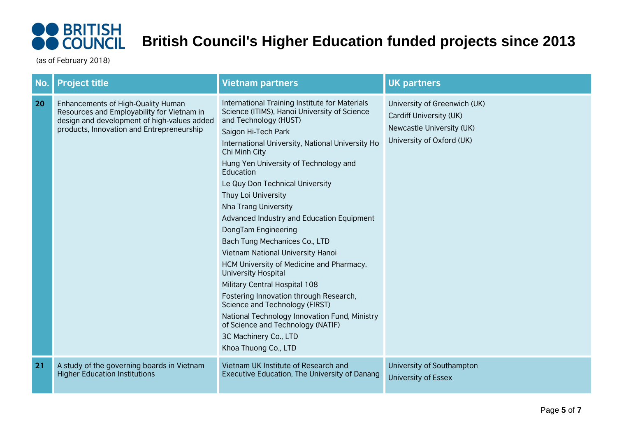# **British Council's Higher Education funded projects since 2013**

| No. | Project title                                                                                                                                                                | <b>Vietnam partners</b>                                                                                                                                                                                                                                                                                                                                                                                                                                                                                                                                                                                                                                                                                                                                                                                                                    | <b>UK partners</b>                                                                                                |
|-----|------------------------------------------------------------------------------------------------------------------------------------------------------------------------------|--------------------------------------------------------------------------------------------------------------------------------------------------------------------------------------------------------------------------------------------------------------------------------------------------------------------------------------------------------------------------------------------------------------------------------------------------------------------------------------------------------------------------------------------------------------------------------------------------------------------------------------------------------------------------------------------------------------------------------------------------------------------------------------------------------------------------------------------|-------------------------------------------------------------------------------------------------------------------|
| 20  | Enhancements of High-Quality Human<br>Resources and Employability for Vietnam in<br>design and development of high-values added<br>products, Innovation and Entrepreneurship | International Training Institute for Materials<br>Science (ITIMS), Hanoi University of Science<br>and Technology (HUST)<br>Saigon Hi-Tech Park<br>International University, National University Ho<br>Chi Minh City<br>Hung Yen University of Technology and<br>Education<br>Le Quy Don Technical University<br>Thuy Loi University<br><b>Nha Trang University</b><br>Advanced Industry and Education Equipment<br>DongTam Engineering<br>Bach Tung Mechanices Co., LTD<br>Vietnam National University Hanoi<br>HCM University of Medicine and Pharmacy,<br><b>University Hospital</b><br>Military Central Hospital 108<br>Fostering Innovation through Research,<br>Science and Technology (FIRST)<br>National Technology Innovation Fund, Ministry<br>of Science and Technology (NATIF)<br>3C Machinery Co., LTD<br>Khoa Thuong Co., LTD | University of Greenwich (UK)<br>Cardiff University (UK)<br>Newcastle University (UK)<br>University of Oxford (UK) |
| 21  | A study of the governing boards in Vietnam<br><b>Higher Education Institutions</b>                                                                                           | Vietnam UK Institute of Research and<br>Executive Education, The University of Danang                                                                                                                                                                                                                                                                                                                                                                                                                                                                                                                                                                                                                                                                                                                                                      | University of Southampton<br><b>University of Essex</b>                                                           |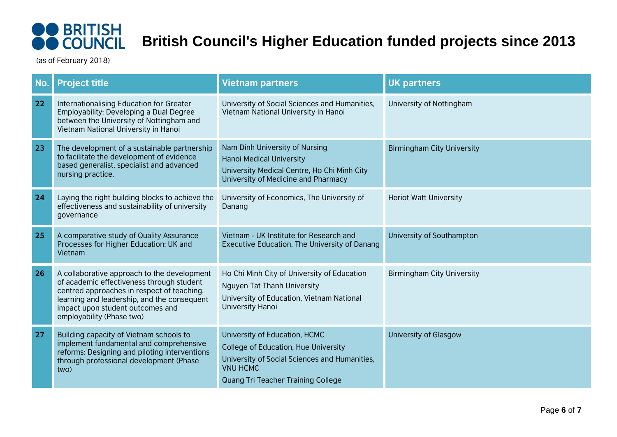# **British Council's Higher Education funded projects since 2013**

| No. | <b>Project title</b>                                                                                                                                                                                                                                   | <b>Vietnam partners</b>                                                                                                                                                         | <b>UK partners</b>                |
|-----|--------------------------------------------------------------------------------------------------------------------------------------------------------------------------------------------------------------------------------------------------------|---------------------------------------------------------------------------------------------------------------------------------------------------------------------------------|-----------------------------------|
| 22  | Internationalising Education for Greater<br>Employability: Developing a Dual Degree<br>between the University of Nottingham and<br>Vietnam National University in Hanoi                                                                                | University of Social Sciences and Humanities,<br>Vietnam National University in Hanoi                                                                                           | University of Nottingham          |
| 23  | The development of a sustainable partnership<br>to facilitate the development of evidence<br>based generalist, specialist and advanced<br>nursing practice.                                                                                            | Nam Dinh University of Nursing<br>Hanoi Medical University<br>University Medical Centre, Ho Chi Minh City<br>University of Medicine and Pharmacy                                | <b>Birmingham City University</b> |
| 24  | Laying the right building blocks to achieve the<br>effectiveness and sustainability of university<br>governance                                                                                                                                        | University of Economics, The University of<br>Danang                                                                                                                            | <b>Heriot Watt University</b>     |
| 25  | A comparative study of Quality Assurance<br>Processes for Higher Education: UK and<br>Vietnam                                                                                                                                                          | Vietnam - UK Institute for Research and<br>Executive Education, The University of Danang                                                                                        | University of Southampton         |
| 26  | A collaborative approach to the development<br>of academic effectiveness through student<br>centred approaches in respect of teaching,<br>learning and leadership, and the consequent<br>impact upon student outcomes and<br>employability (Phase two) | Ho Chi Minh City of University of Education<br><b>Nguyen Tat Thanh University</b><br>University of Education, Vietnam National<br>University Hanoi                              | <b>Birmingham City University</b> |
| 27  | Building capacity of Vietnam schools to<br>implement fundamental and comprehensive<br>reforms: Designing and piloting interventions<br>through professional development (Phase<br>two)                                                                 | University of Education, HCMC<br>College of Education, Hue University<br>University of Social Sciences and Humanities,<br><b>VNU HCMC</b><br>Quang Tri Teacher Training College | University of Glasgow             |